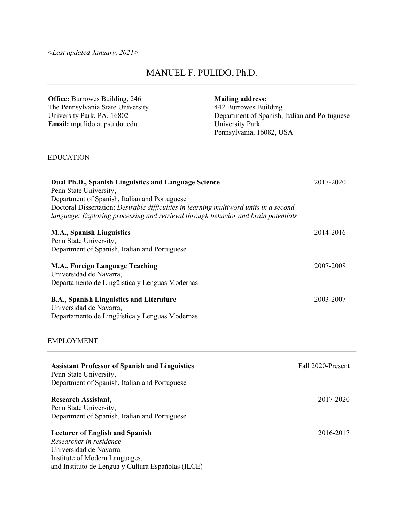*<Last updated January, 2021>* 

# MANUEL F. PULIDO, Ph.D.

 **Office:** Burrowes Building, 246 The Pennsylvania State University University Park, PA. 16802 **Email:** mpulido at psu dot edu University Park  **Mailing address:**  Department of Spanish, Italian and Portuguese Pennsylvania, 16082, USA  **Dual Ph.D., Spanish Linguistics and Language Science** 2017-2020 Department of Spanish, Italian and Portuguese  Doctoral Dissertation: *Desirable difficulties in learning multiword units in a second*   **M.A., Spanish Linguistics**  Department of Spanish, Italian and Portuguese  **M.A., Foreign Language Teaching**  Universidad de Navarra, Departamento de Lingüística y Lenguas Modernas  **B.A., Spanish Linguistics and Literature**  Universidad de Navarra, Departamento de Lingüística y Lenguas Modernas  **Assistant Professor of Spanish and Linguistics**  Department of Spanish, Italian and Portuguese  **Research Assistant,**  Department of Spanish, Italian and Portuguese  **Lecturer of English and Spanish**   *Researcher in residence*  Universidad de Navarra 442 Burrowes Building EDUCATION Penn State University, *language: Exploring processing and retrieval through behavior and brain potentials*  Penn State University, EMPLOYMENT Penn State University, Penn State University, Institute of Modern Languages, 2014-2016 2007-2008 2003-2007 Fall 2020-Present 2017-2020 2016-2017

and Instituto de Lengua y Cultura Españolas (ILCE)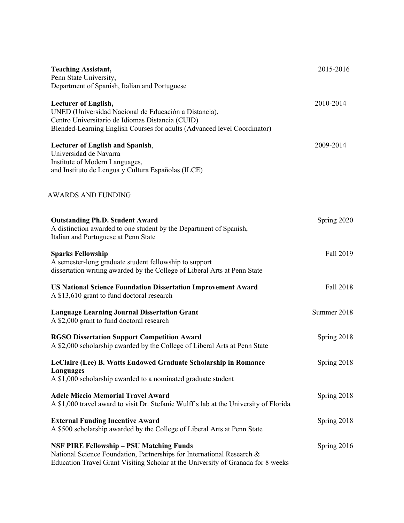| <b>Teaching Assistant,</b>                                                            | 2015-2016   |
|---------------------------------------------------------------------------------------|-------------|
| Penn State University,<br>Department of Spanish, Italian and Portuguese               |             |
|                                                                                       |             |
| <b>Lecturer of English,</b>                                                           | 2010-2014   |
| UNED (Universidad Nacional de Educación a Distancia),                                 |             |
| Centro Universitario de Idiomas Distancia (CUID)                                      |             |
| Blended-Learning English Courses for adults (Advanced level Coordinator)              |             |
| <b>Lecturer of English and Spanish,</b>                                               | 2009-2014   |
| Universidad de Navarra                                                                |             |
| Institute of Modern Languages,                                                        |             |
| and Instituto de Lengua y Cultura Españolas (ILCE)                                    |             |
| <b>AWARDS AND FUNDING</b>                                                             |             |
|                                                                                       |             |
| <b>Outstanding Ph.D. Student Award</b>                                                | Spring 2020 |
| A distinction awarded to one student by the Department of Spanish,                    |             |
| Italian and Portuguese at Penn State                                                  |             |
| <b>Sparks Fellowship</b>                                                              | Fall 2019   |
| A semester-long graduate student fellowship to support                                |             |
| dissertation writing awarded by the College of Liberal Arts at Penn State             |             |
| <b>US National Science Foundation Dissertation Improvement Award</b>                  | Fall 2018   |
| A \$13,610 grant to fund doctoral research                                            |             |
| <b>Language Learning Journal Dissertation Grant</b>                                   | Summer 2018 |
| A \$2,000 grant to fund doctoral research                                             |             |
| <b>RGSO Dissertation Support Competition Award</b>                                    | Spring 2018 |
| A \$2,000 scholarship awarded by the College of Liberal Arts at Penn State            |             |
| LeClaire (Lee) B. Watts Endowed Graduate Scholarship in Romance                       | Spring 2018 |
| <b>Languages</b>                                                                      |             |
| A \$1,000 scholarship awarded to a nominated graduate student                         |             |
| <b>Adele Miccio Memorial Travel Award</b>                                             | Spring 2018 |
| A \$1,000 travel award to visit Dr. Stefanie Wulff's lab at the University of Florida |             |
| <b>External Funding Incentive Award</b>                                               | Spring 2018 |
| A \$500 scholarship awarded by the College of Liberal Arts at Penn State              |             |
| <b>NSF PIRE Fellowship - PSU Matching Funds</b>                                       | Spring 2016 |
| National Science Foundation, Partnerships for International Research &                |             |
| Education Travel Grant Visiting Scholar at the University of Granada for 8 weeks      |             |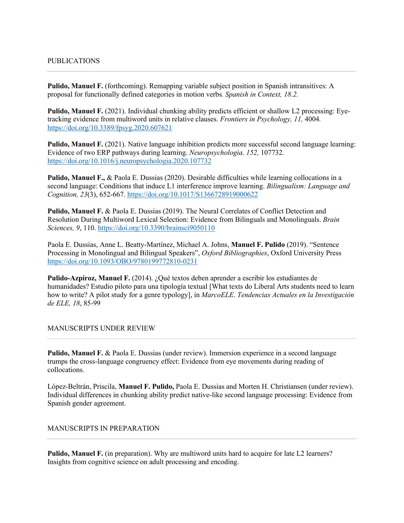#### PUBLICATIONS

Pulido, Manuel F. (forthcoming). Remapping variable subject position in Spanish intransitives: A proposal for functionally defined categories in motion verbs*. Spanish in Context, 18.2.* 

Pulido, Manuel F. (2021). Individual chunking ability predicts efficient or shallow L2 processing: Eye- tracking evidence from multiword units in relative clauses. *Frontiers in Psychology, 11,* 4004*.*  <https://doi.org/10.3389/fpsyg.2020.607621>

Pulido, Manuel F. (2021). Native language inhibition predicts more successful second language learning: Evidence of two ERP pathways during learning. *Neuropsychologia. 152,* 107732. <https://doi.org/10.1016/j.neuropsychologia.2020.107732>

Pulido, Manuel F., & Paola E. Dussias (2020). Desirable difficulties while learning collocations in a  second language: Conditions that induce L1 interference improve learning. *Bilingualism: Language and Cognition, 23*(3), 652-667.<https://doi.org/10.1017/S1366728919000622>

Pulido, Manuel F. & Paola E. Dussias (2019). The Neural Correlates of Conflict Detection and Resolution During Multiword Lexical Selection: Evidence from Bilinguals and Monolinguals. *Brain Sciences, 9*, 110.<https://doi.org/10.3390/brainsci9050110>

 Paola E. Dussias, Anne L. Beatty-Martínez, Michael A. Johns, **Manuel F. Pulido** (2019). "Sentence Processing in Monolingual and Bilingual Speakers", *Oxford Bibliographies*, Oxford University Press <https://doi.org/10.1093/OBO/9780199772810-0231>

Pulido-Azpíroz, Manuel F. (2014). ¿Qué textos deben aprender a escribir los estudiantes de humanidades? Estudio piloto para una tipología textual [What texts do Liberal Arts students need to learn how to write? A pilot study for a genre typology], in *MarcoELE*. *Tendencias Actuales en la Investigación de ELE, 18*, 85-99

MANUSCRIPTS UNDER REVIEW

Pulido, Manuel F. & Paola E. Dussias (under review). Immersion experience in a second language collocations. trumps the cross-language congruency effect: Evidence from eye movements during reading of

collocations.<br>López-Beltrán, Priscila, **Manuel F. Pulido,** Paola E. Dussias and Morten H. Christiansen (under review). Individual differences in chunking ability predict native-like second language processing: Evidence from Spanish gender agreement.

MANUSCRIPTS IN PREPARATION

 **Pulido, Manuel F.** (in preparation). Why are multiword units hard to acquire for late L2 learners? Insights from cognitive science on adult processing and encoding.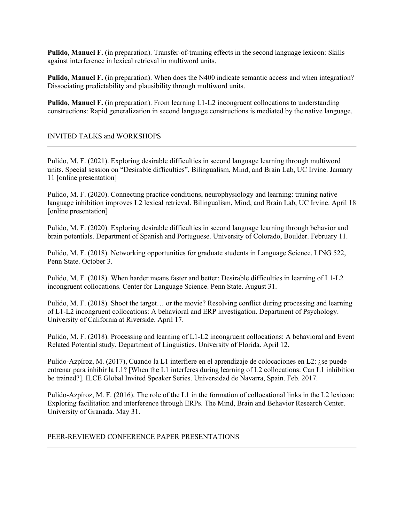Pulido, Manuel F. (in preparation). Transfer-of-training effects in the second language lexicon: Skills against interference in lexical retrieval in multiword units.

**Pulido, Manuel F.** (in preparation). When does the N400 indicate semantic access and when integration? Dissociating predictability and plausibility through multiword units.

Pulido, Manuel F. (in preparation). From learning L1-L2 incongruent collocations to understanding constructions: Rapid generalization in second language constructions is mediated by the native language.

#### INVITED TALKS and WORKSHOPS

 Pulido, M. F. (2021). Exploring desirable difficulties in second language learning through multiword units. Special session on "Desirable difficulties". Bilingualism, Mind, and Brain Lab, UC Irvine. January 11 [online presentation]

 Pulido, M. F. (2020). Connecting practice conditions, neurophysiology and learning: training native language inhibition improves L2 lexical retrieval. Bilingualism, Mind, and Brain Lab, UC Irvine. April 18 [online presentation]

 Pulido, M. F. (2020). Exploring desirable difficulties in second language learning through behavior and brain potentials. Department of Spanish and Portuguese. University of Colorado, Boulder. February 11.

 Pulido, M. F. (2018). Networking opportunities for graduate students in Language Science. LING 522, Penn State. October 3.

 Pulido, M. F. (2018). When harder means faster and better: Desirable difficulties in learning of L1-L2 incongruent collocations. Center for Language Science. Penn State. August 31.

 Pulido, M. F. (2018). Shoot the target… or the movie? Resolving conflict during processing and learning of L1-L2 incongruent collocations: A behavioral and ERP investigation. Department of Psychology. University of California at Riverside. April 17.

 Pulido, M. F. (2018). Processing and learning of L1-L2 incongruent collocations: A behavioral and Event Related Potential study. Department of Linguistics. University of Florida. April 12.

 Pulido-Azpíroz, M. (2017), Cuando la L1 interfiere en el aprendizaje de colocaciones en L2: ¿se puede entrenar para inhibir la L1? [When the L1 interferes during learning of L2 collocations: Can L1 inhibition be trained?]. ILCE Global Invited Speaker Series. Universidad de Navarra, Spain. Feb. 2017.

 Pulido-Azpíroz, M. F. (2016). The role of the L1 in the formation of collocational links in the L2 lexicon: Exploring facilitation and interference through ERPs. The Mind, Brain and Behavior Research Center. University of Granada. May 31.

#### PEER-REVIEWED CONFERENCE PAPER PRESENTATIONS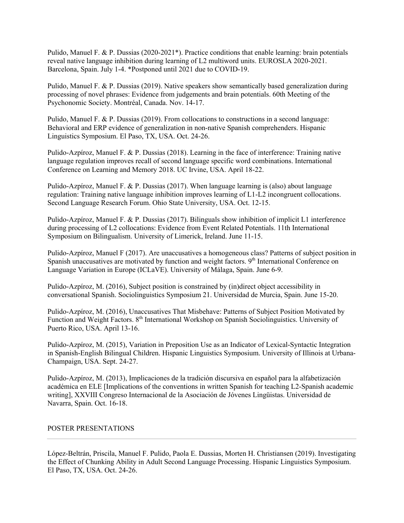Pulido, Manuel F. & P. Dussias (2020-2021\*). Practice conditions that enable learning: brain potentials Barcelona, Spain. July 1-4. \*Postponed until 2021 due to COVID-19. reveal native language inhibition during learning of L2 multiword units. EUROSLA 2020-2021.

 Pulido, Manuel F. & P. Dussias (2019). Native speakers show semantically based generalization during processing of novel phrases: Evidence from judgements and brain potentials. 60th Meeting of the Psychonomic Society. Montréal, Canada. Nov. 14-17.

 Pulido, Manuel F. & P. Dussias (2019). From collocations to constructions in a second language: Behavioral and ERP evidence of generalization in non-native Spanish comprehenders. Hispanic Linguistics Symposium. El Paso, TX, USA. Oct. 24-26.

 Pulido-Azpíroz, Manuel F. & P. Dussias (2018). Learning in the face of interference: Training native language regulation improves recall of second language specific word combinations. International Conference on Learning and Memory 2018. UC Irvine, USA. April 18-22.

 Pulido-Azpíroz, Manuel F. & P. Dussias (2017). When language learning is (also) about language regulation: Training native language inhibition improves learning of L1-L2 incongruent collocations. Second Language Research Forum. Ohio State University, USA. Oct. 12-15.

 Pulido-Azpíroz, Manuel F. & P. Dussias (2017). Bilinguals show inhibition of implicit L1 interference during processing of L2 collocations: Evidence from Event Related Potentials. 11th International Symposium on Bilingualism. University of Limerick, Ireland. June 11-15.

 Pulido-Azpíroz, Manuel F (2017). Are unaccusatives a homogeneous class? Patterns of subject position in Spanish unaccusatives are motivated by function and weight factors. 9<sup>th</sup> International Conference on Language Variation in Europe (ICLaVE). University of Málaga, Spain. June 6-9.

 Pulido-Azpíroz, M. (2016), Subject position is constrained by (in)direct object accessibility in conversational Spanish. Sociolinguistics Symposium 21. Universidad de Murcia, Spain. June 15-20.

 Pulido-Azpíroz, M. (2016), Unaccusatives That Misbehave: Patterns of Subject Position Motivated by Function and Weight Factors. 8<sup>th</sup> International Workshop on Spanish Sociolinguistics. University of Puerto Rico, USA. April 13-16.

 Pulido-Azpíroz, M. (2015), Variation in Preposition Use as an Indicator of Lexical-Syntactic Integration in Spanish-English Bilingual Children. Hispanic Linguistics Symposium. University of Illinois at Urbana-Champaign, USA. Sept. 24-27.

 Pulido-Azpíroz, M. (2013), Implicaciones de la tradición discursiva en español para la alfabetización académica en ELE [Implications of the conventions in written Spanish for teaching L2-Spanish academic writing], XXVIII Congreso Internacional de la Asociación de Jóvenes Lingüistas. Universidad de Navarra, Spain. Oct. 16-18.

### POSTER PRESENTATIONS

 López-Beltrán, Priscila, Manuel F. Pulido, Paola E. Dussias, Morten H. Christiansen (2019). Investigating El Paso, TX, USA. Oct. 24-26. the Effect of Chunking Ability in Adult Second Language Processing. Hispanic Linguistics Symposium.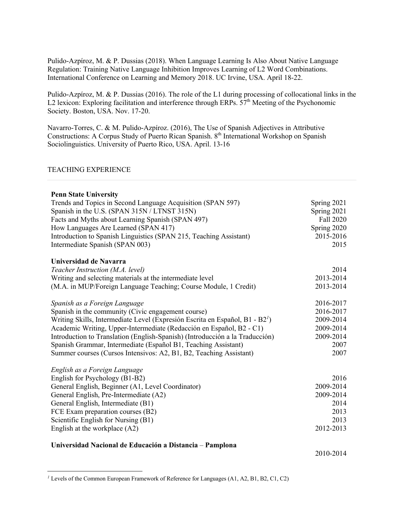Pulido-Azpíroz, M. & P. Dussias (2018). When Language Learning Is Also About Native Language Regulation: Training Native Language Inhibition Improves Learning of L2 Word Combinations. International Conference on Learning and Memory 2018. UC Irvine, USA. April 18-22.

 Pulido-Azpíroz, M. & P. Dussias (2016). The role of the L1 during processing of collocational links in the L2 lexicon: Exploring facilitation and interference through ERPs.  $57<sup>th</sup>$  Meeting of the Psychonomic Society. Boston, USA. Nov. 17-20.

 Navarro-Torres, C. & M. Pulido-Azpíroz. (2016), The Use of Spanish Adjectives in Attributive Constructions: A Corpus Study of Puerto Rican Spanish. 8<sup>th</sup> International Workshop on Spanish Sociolinguistics. University of Puerto Rico, USA. April. 13-16

#### TEACHING EXPERIENCE

| <b>Penn State University</b>                                                   |             |
|--------------------------------------------------------------------------------|-------------|
| Trends and Topics in Second Language Acquisition (SPAN 597)                    | Spring 2021 |
| Spanish in the U.S. (SPAN 315N / LTNST 315N)                                   | Spring 2021 |
| Facts and Myths about Learning Spanish (SPAN 497)                              | Fall 2020   |
| How Languages Are Learned (SPAN 417)                                           | Spring 2020 |
| Introduction to Spanish Linguistics (SPAN 215, Teaching Assistant)             | 2015-2016   |
| Intermediate Spanish (SPAN 003)                                                | 2015        |
| Universidad de Navarra                                                         |             |
| Teacher Instruction (M.A. level)                                               | 2014        |
| Writing and selecting materials at the intermediate level                      | 2013-2014   |
| (M.A. in MUP/Foreign Language Teaching; Course Module, 1 Credit)               | 2013-2014   |
| Spanish as a Foreign Language                                                  | 2016-2017   |
| Spanish in the community (Civic engagement course)                             | 2016-2017   |
| Writing Skills, Intermediate Level (Expresión Escrita en Español, $B1 - B2T$ ) | 2009-2014   |
| Academic Writing, Upper-Intermediate (Redacción en Español, B2 - C1)           | 2009-2014   |
| Introduction to Translation (English-Spanish) (Introducción a la Traducción)   | 2009-2014   |
| Spanish Grammar, Intermediate (Español B1, Teaching Assistant)                 | 2007        |
| Summer courses (Cursos Intensivos: A2, B1, B2, Teaching Assistant)             | 2007        |
| English as a Foreign Language                                                  |             |
| English for Psychology (B1-B2)                                                 | 2016        |
| General English, Beginner (A1, Level Coordinator)                              | 2009-2014   |
| General English, Pre-Intermediate (A2)                                         | 2009-2014   |
| General English, Intermediate (B1)                                             | 2014        |
| FCE Exam preparation courses (B2)                                              | 2013        |
| Scientific English for Nursing (B1)                                            | 2013        |
| English at the workplace $(A2)$                                                | 2012-2013   |
| Universidad Nacional de Educación a Distancia – Pamplona                       |             |

<sup>2010-2014</sup> 

 *<sup>1</sup>* Levels of the Common European Framework of Reference for Languages (A1, A2, B1, B2, C1, C2)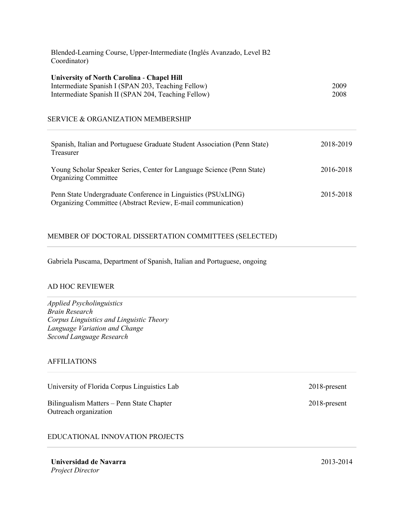| Blended-Learning Course, Upper-Intermediate (Inglés Avanzado, Level B2<br>Coordinator)                                                                         |              |  |
|----------------------------------------------------------------------------------------------------------------------------------------------------------------|--------------|--|
| <b>University of North Carolina - Chapel Hill</b><br>Intermediate Spanish I (SPAN 203, Teaching Fellow)<br>Intermediate Spanish II (SPAN 204, Teaching Fellow) | 2009<br>2008 |  |
| SERVICE & ORGANIZATION MEMBERSHIP                                                                                                                              |              |  |
| Spanish, Italian and Portuguese Graduate Student Association (Penn State)<br>Treasurer                                                                         | 2018-2019    |  |
| Young Scholar Speaker Series, Center for Language Science (Penn State)<br><b>Organizing Committee</b>                                                          | 2016-2018    |  |
| Penn State Undergraduate Conference in Linguistics (PSUxLING)<br>Organizing Committee (Abstract Review, E-mail communication)                                  | 2015-2018    |  |

### MEMBER OF DOCTORAL DISSERTATION COMMITTEES (SELECTED)

Gabriela Puscama, Department of Spanish, Italian and Portuguese, ongoing

#### AD HOC REVIEWER

 *Corpus Linguistics and Linguistic Theory Language Variation and Change Applied Psycholinguistics Brain Research Second Language Research* 

### AFFILIATIONS

University of Florida Corpus Linguistics Lab 2018-present

 Bilingualism Matters – Penn State Chapter 2018-present Outreach organization

## EDUCATIONAL INNOVATION PROJECTS

 **Universidad de Navarra** 2013-2014 *Project Director*